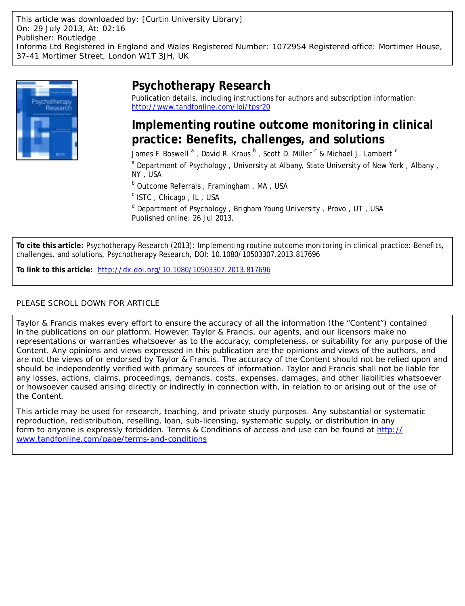

# **Psychotherapy Research**

Publication details, including instructions for authors and subscription information: <http://www.tandfonline.com/loi/tpsr20>

# **Implementing routine outcome monitoring in clinical practice: Benefits, challenges, and solutions**

James F. Boswell  $^{\rm a}$  , David R. Kraus  $^{\rm b}$  , Scott D. Miller  $^{\rm c}$  & Michael J. Lambert  $^{\rm d}$ 

<sup>a</sup> Department of Psychology, University at Albany, State University of New York, Albany, NY , USA

**b** Outcome Referrals, Framingham, MA, USA

<sup>c</sup> ISTC, Chicago, IL, USA

<sup>d</sup> Department of Psychology, Brigham Young University, Provo, UT, USA Published online: 26 Jul 2013.

**To cite this article:** Psychotherapy Research (2013): Implementing routine outcome monitoring in clinical practice: Benefits, challenges, and solutions, Psychotherapy Research, DOI: 10.1080/10503307.2013.817696

**To link to this article:** <http://dx.doi.org/10.1080/10503307.2013.817696>

# PLEASE SCROLL DOWN FOR ARTICLE

Taylor & Francis makes every effort to ensure the accuracy of all the information (the "Content") contained in the publications on our platform. However, Taylor & Francis, our agents, and our licensors make no representations or warranties whatsoever as to the accuracy, completeness, or suitability for any purpose of the Content. Any opinions and views expressed in this publication are the opinions and views of the authors, and are not the views of or endorsed by Taylor & Francis. The accuracy of the Content should not be relied upon and should be independently verified with primary sources of information. Taylor and Francis shall not be liable for any losses, actions, claims, proceedings, demands, costs, expenses, damages, and other liabilities whatsoever or howsoever caused arising directly or indirectly in connection with, in relation to or arising out of the use of the Content.

This article may be used for research, teaching, and private study purposes. Any substantial or systematic reproduction, redistribution, reselling, loan, sub-licensing, systematic supply, or distribution in any form to anyone is expressly forbidden. Terms & Conditions of access and use can be found at [http://](http://www.tandfonline.com/page/terms-and-conditions) [www.tandfonline.com/page/terms-and-conditions](http://www.tandfonline.com/page/terms-and-conditions)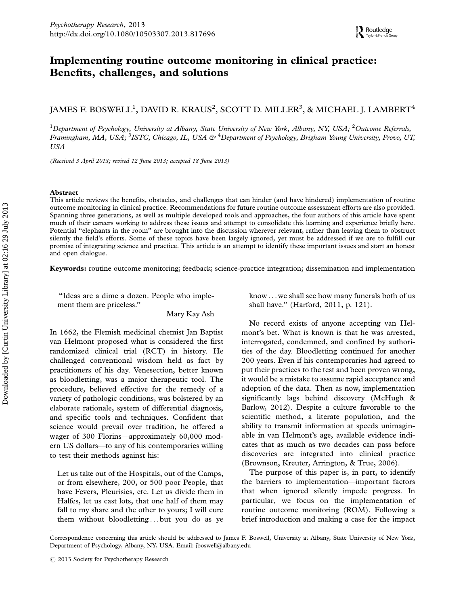# Implementing routine outcome monitoring in clinical practice: Benefits, challenges, and solutions

JAMES F. BOSWELL $^1$ , DAVID R. KRAUS $^2$ , SCOTT D. MILLER $^3$ , & MICHAEL J. LAMBERT $^4$ 

<sup>1</sup>Department of Psychology, University at Albany, State University of New York, Albany, NY, USA; <sup>2</sup>Outcome Referrals, Framingham, MA, USA; <sup>3</sup>ISTC, Chicago, IL, USA & <sup>4</sup>Department of Psychology, Brigham Young University, Provo, UT, USA

(Received 3 April 2013; revised 12 June 2013; accepted 18 June 2013)

#### Abstract

This article reviews the benefits, obstacles, and challenges that can hinder (and have hindered) implementation of routine outcome monitoring in clinical practice. Recommendations for future routine outcome assessment efforts are also provided. Spanning three generations, as well as multiple developed tools and approaches, the four authors of this article have spent much of their careers working to address these issues and attempt to consolidate this learning and experience briefly here. Potential "elephants in the room" are brought into the discussion wherever relevant, rather than leaving them to obstruct silently the field's efforts. Some of these topics have been largely ignored, yet must be addressed if we are to fulfill our promise of integrating science and practice. This article is an attempt to identify these important issues and start an honest and open dialogue.

Keywords: routine outcome monitoring; feedback; science-practice integration; dissemination and implementation

''Ideas are a dime a dozen. People who implement them are priceless.''

Mary Kay Ash

In 1662, the Flemish medicinal chemist Jan Baptist van Helmont proposed what is considered the first randomized clinical trial (RCT) in history. He challenged conventional wisdom held as fact by practitioners of his day. Venesection, better known as bloodletting, was a major therapeutic tool. The procedure, believed effective for the remedy of a variety of pathologic conditions, was bolstered by an elaborate rationale, system of differential diagnosis, and specific tools and techniques. Confident that science would prevail over tradition, he offered a wager of 300 Florins—approximately  $60,000 \text{ mod}$ ern US dollars—to any of his contemporaries willing to test their methods against his:

Let us take out of the Hospitals, out of the Camps, or from elsewhere, 200, or 500 poor People, that have Fevers, Pleurisies, etc. Let us divide them in Halfes, let us cast lots, that one half of them may fall to my share and the other to yours; I will cure them without bloodletting ...but you do as ye know ...we shall see how many funerals both of us shall have.'' (Harford, 2011, p. 121).

No record exists of anyone accepting van Helmont's bet. What is known is that he was arrested, interrogated, condemned, and confined by authorities of the day. Bloodletting continued for another 200 years. Even if his contemporaries had agreed to put their practices to the test and been proven wrong, it would be a mistake to assume rapid acceptance and adoption of the data. Then as now, implementation significantly lags behind discovery (McHugh & Barlow, 2012). Despite a culture favorable to the scientific method, a literate population, and the ability to transmit information at speeds unimaginable in van Helmont's age, available evidence indicates that as much as two decades can pass before discoveries are integrated into clinical practice (Brownson, Kreuter, Arrington, & True, 2006).

The purpose of this paper is, in part, to identify the barriers to implementation—important factors that when ignored silently impede progress. In particular, we focus on the implementation of routine outcome monitoring (ROM). Following a brief introduction and making a case for the impact

Correspondence concerning this article should be addressed to James F. Boswell, University at Albany, State University of New York, Department of Psychology, Albany, NY, USA. Email: jboswell@albany.edu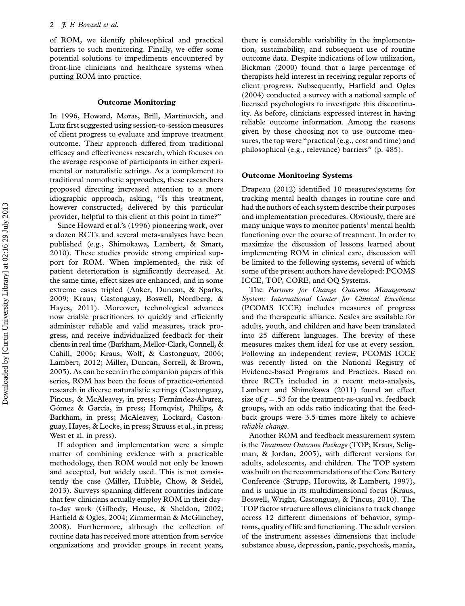of ROM, we identify philosophical and practical barriers to such monitoring. Finally, we offer some potential solutions to impediments encountered by front-line clinicians and healthcare systems when putting ROM into practice.

#### Outcome Monitoring

In 1996, Howard, Moras, Brill, Martinovich, and Lutz first suggested using session-to-session measures of client progress to evaluate and improve treatment outcome. Their approach differed from traditional efficacy and effectiveness research, which focuses on the average response of participants in either experimental or naturalistic settings. As a complement to traditional nomothetic approaches, these researchers proposed directing increased attention to a more idiographic approach, asking, ''Is this treatment, however constructed, delivered by this particular provider, helpful to this client at this point in time?''

Since Howard et al.'s (1996) pioneering work, over a dozen RCTs and several meta-analyses have been published (e.g., Shimokawa, Lambert, & Smart, 2010). These studies provide strong empirical support for ROM. When implemented, the risk of patient deterioration is significantly decreased. At the same time, effect sizes are enhanced, and in some extreme cases tripled (Anker, Duncan, & Sparks, 2009; Kraus, Castonguay, Boswell, Nordberg, & Hayes, 2011). Moreover, technological advances now enable practitioners to quickly and efficiently administer reliable and valid measures, track progress, and receive individualized feedback for their clients in real time (Barkham, Mellor-Clark, Connell, & Cahill, 2006; Kraus, Wolf, & Castonguay, 2006; Lambert, 2012; Miller, Duncan, Sorrell, & Brown, 2005). As can be seen in the companion papers of this series, ROM has been the focus of practice-oriented research in diverse naturalistic settings (Castonguay, Pincus, & McAleavey, in press; Fernández-Alvarez, Gómez & García, in press; Homqvist, Philips, & Barkham, in press; McAleavey, Lockard, Castonguay, Hayes, & Locke, in press; Strauss et al., in press; West et al. in press).

If adoption and implementation were a simple matter of combining evidence with a practicable methodology, then ROM would not only be known and accepted, but widely used. This is not consistently the case (Miller, Hubble, Chow, & Seidel, 2013). Surveys spanning different countries indicate that few clinicians actually employ ROM in their dayto-day work (Gilbody, House, & Sheldon, 2002; Hatfield & Ogles, 2004; Zimmerman & McGlinchey, 2008). Furthermore, although the collection of routine data has received more attention from service organizations and provider groups in recent years,

there is considerable variability in the implementation, sustainability, and subsequent use of routine outcome data. Despite indications of low utilization, Bickman (2000) found that a large percentage of therapists held interest in receiving regular reports of client progress. Subsequently, Hatfield and Ogles (2004) conducted a survey with a national sample of licensed psychologists to investigate this discontinuity. As before, clinicians expressed interest in having reliable outcome information. Among the reasons given by those choosing not to use outcome measures, the top were ''practical (e.g., cost and time) and philosophical (e.g., relevance) barriers'' (p. 485).

#### Outcome Monitoring Systems

Drapeau (2012) identified 10 measures/systems for tracking mental health changes in routine care and had the authors of each system describe their purposes and implementation procedures. Obviously, there are many unique ways to monitor patients' mental health functioning over the course of treatment. In order to maximize the discussion of lessons learned about implementing ROM in clinical care, discussion will be limited to the following systems, several of which some of the present authors have developed: PCOMS ICCE, TOP, CORE, and OQ Systems.

The Partners for Change Outcome Management System: International Center for Clinical Excellence (PCOMS ICCE) includes measures of progress and the therapeutic alliance. Scales are available for adults, youth, and children and have been translated into 25 different languages. The brevity of these measures makes them ideal for use at every session. Following an independent review, PCOMS ICCE was recently listed on the National Registry of Evidence-based Programs and Practices. Based on three RCTs included in a recent meta-analysis, Lambert and Shimokawa (2011) found an effect size of  $g = 0.53$  for the treatment-as-usual vs. feedback groups, with an odds ratio indicating that the feedback groups were 3.5-times more likely to achieve reliable change.

Another ROM and feedback measurement system is the Treatment Outcome Package (TOP; Kraus, Seligman, & Jordan, 2005), with different versions for adults, adolescents, and children. The TOP system was built on the recommendations of the Core Battery Conference (Strupp, Horowitz, & Lambert, 1997), and is unique in its multidimensional focus (Kraus, Boswell, Wright, Castonguay, & Pincus, 2010). The TOP factor structure allows clinicians to track change across 12 different dimensions of behavior, symptoms, quality of life and functioning. The adult version of the instrument assesses dimensions that include substance abuse, depression, panic, psychosis, mania,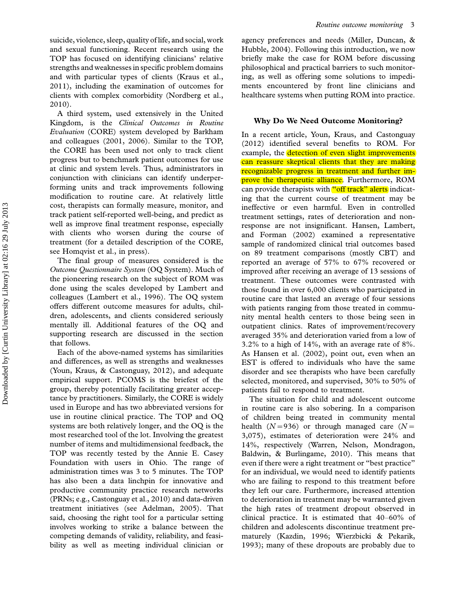suicide, violence, sleep, quality of life, and social, work and sexual functioning. Recent research using the TOP has focused on identifying clinicians' relative strengths and weaknesses in specific problem domains and with particular types of clients (Kraus et al., 2011), including the examination of outcomes for clients with complex comorbidity (Nordberg et al., 2010).

A third system, used extensively in the United Kingdom, is the Clinical Outcomes in Routine Evaluation (CORE) system developed by Barkham and colleagues (2001, 2006). Similar to the TOP, the CORE has been used not only to track client progress but to benchmark patient outcomes for use at clinic and system levels. Thus, administrators in conjunction with clinicians can identify underperforming units and track improvements following modification to routine care. At relatively little cost, therapists can formally measure, monitor, and track patient self-reported well-being, and predict as well as improve final treatment response, especially with clients who worsen during the course of treatment (for a detailed description of the CORE, see Homqvist et al., in press).

The final group of measures considered is the Outcome Questionnaire System (OQ System). Much of the pioneering research on the subject of ROM was done using the scales developed by Lambert and colleagues (Lambert et al., 1996). The OQ system offers different outcome measures for adults, children, adolescents, and clients considered seriously mentally ill. Additional features of the OQ and supporting research are discussed in the section that follows.

Each of the above-named systems has similarities and differences, as well as strengths and weaknesses (Youn, Kraus, & Castonguay, 2012), and adequate empirical support. PCOMS is the briefest of the group, thereby potentially facilitating greater acceptance by practitioners. Similarly, the CORE is widely used in Europe and has two abbreviated versions for use in routine clinical practice. The TOP and OQ systems are both relatively longer, and the OQ is the most researched tool of the lot. Involving the greatest number of items and multidimensional feedback, the TOP was recently tested by the Annie E. Casey Foundation with users in Ohio. The range of administration times was 3 to 5 minutes. The TOP has also been a data linchpin for innovative and productive community practice research networks (PRNs; e.g., Castonguay et al., 2010) and data-driven treatment initiatives (see Adelman, 2005). That said, choosing the right tool for a particular setting involves working to strike a balance between the competing demands of validity, reliability, and feasibility as well as meeting individual clinician or

agency preferences and needs (Miller, Duncan, & Hubble, 2004). Following this introduction, we now briefly make the case for ROM before discussing philosophical and practical barriers to such monitoring, as well as offering some solutions to impediments encountered by front line clinicians and healthcare systems when putting ROM into practice.

#### Why Do We Need Outcome Monitoring?

In a recent article, Youn, Kraus, and Castonguay (2012) identified several benefits to ROM. For example, the detection of even slight improvements can reassure skeptical clients that they are making recognizable progress in treatment and further improve the therapeutic alliance. Furthermore, ROM can provide therapists with "off track" alerts indicating that the current course of treatment may be ineffective or even harmful. Even in controlled treatment settings, rates of deterioration and nonresponse are not insignificant. Hansen, Lambert, and Forman (2002) examined a representative sample of randomized clinical trial outcomes based on 89 treatment comparisons (mostly CBT) and reported an average of 57% to 67% recovered or improved after receiving an average of 13 sessions of treatment. These outcomes were contrasted with those found in over 6,000 clients who participated in routine care that lasted an average of four sessions with patients ranging from those treated in community mental health centers to those being seen in outpatient clinics. Rates of improvement/recovery averaged 35% and deterioration varied from a low of 3.2% to a high of 14%, with an average rate of 8%. As Hansen et al. (2002), point out, even when an EST is offered to individuals who have the same disorder and see therapists who have been carefully selected, monitored, and supervised, 30% to 50% of patients fail to respond to treatment.

The situation for child and adolescent outcome in routine care is also sobering. In a comparison of children being treated in community mental health  $(N=936)$  or through managed care  $(N=$ 3,075), estimates of deterioration were 24% and 14%, respectively (Warren, Nelson, Mondragon, Baldwin, & Burlingame, 2010). This means that even if there were a right treatment or ''best practice'' for an individual, we would need to identify patients who are failing to respond to this treatment before they left our care. Furthermore, increased attention to deterioration in treatment may be warranted given the high rates of treatment dropout observed in clinical practice. It is estimated that  $40-60\%$  of children and adolescents discontinue treatment prematurely (Kazdin, 1996; Wierzbicki & Pekarik, 1993); many of these dropouts are probably due to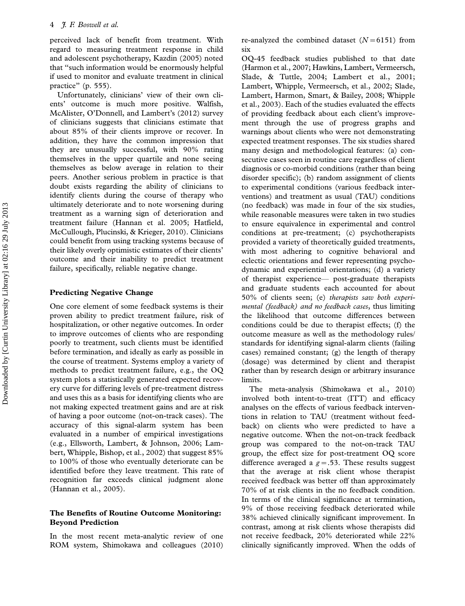perceived lack of benefit from treatment. With regard to measuring treatment response in child and adolescent psychotherapy, Kazdin (2005) noted that ''such information would be enormously helpful if used to monitor and evaluate treatment in clinical practice'' (p. 555).

Unfortunately, clinicians' view of their own clients' outcome is much more positive. Walfish, McAlister, O'Donnell, and Lambert's (2012) survey of clinicians suggests that clinicians estimate that about 85% of their clients improve or recover. In addition, they have the common impression that they are unusually successful, with 90% rating themselves in the upper quartile and none seeing themselves as below average in relation to their peers. Another serious problem in practice is that doubt exists regarding the ability of clinicians to identify clients during the course of therapy who ultimately deteriorate and to note worsening during treatment as a warning sign of deterioration and treatment failure (Hannan et al. 2005; Hatfield, McCullough, Plucinski, & Krieger, 2010). Clinicians could benefit from using tracking systems because of their likely overly optimistic estimates of their clients' outcome and their inability to predict treatment failure, specifically, reliable negative change.

#### Predicting Negative Change

One core element of some feedback systems is their proven ability to predict treatment failure, risk of hospitalization, or other negative outcomes. In order to improve outcomes of clients who are responding poorly to treatment, such clients must be identified before termination, and ideally as early as possible in the course of treatment. Systems employ a variety of methods to predict treatment failure, e.g., the OQ system plots a statistically generated expected recovery curve for differing levels of pre-treatment distress and uses this as a basis for identifying clients who are not making expected treatment gains and are at risk of having a poor outcome (not-on-track cases). The accuracy of this signal-alarm system has been evaluated in a number of empirical investigations (e.g., Ellsworth, Lambert, & Johnson, 2006; Lambert, Whipple, Bishop, et al., 2002) that suggest 85% to 100% of those who eventually deteriorate can be identified before they leave treatment. This rate of recognition far exceeds clinical judgment alone (Hannan et al., 2005).

#### The Benefits of Routine Outcome Monitoring: Beyond Prediction

In the most recent meta-analytic review of one ROM system, Shimokawa and colleagues (2010)

re-analyzed the combined dataset  $(N=6151)$  from six

OQ-45 feedback studies published to that date (Harmon et al., 2007; Hawkins, Lambert, Vermeersch, Slade, & Tuttle, 2004; Lambert et al., 2001; Lambert, Whipple, Vermeersch, et al., 2002; Slade, Lambert, Harmon, Smart, & Bailey, 2008; Whipple et al., 2003). Each of the studies evaluated the effects of providing feedback about each client's improvement through the use of progress graphs and warnings about clients who were not demonstrating expected treatment responses. The six studies shared many design and methodological features: (a) consecutive cases seen in routine care regardless of client diagnosis or co-morbid conditions (rather than being disorder specific); (b) random assignment of clients to experimental conditions (various feedback interventions) and treatment as usual (TAU) conditions (no feedback) was made in four of the six studies, while reasonable measures were taken in two studies to ensure equivalence in experimental and control conditions at pre-treatment; (c) psychotherapists provided a variety of theoretically guided treatments, with most adhering to cognitive behavioral and eclectic orientations and fewer representing psychodynamic and experiential orientations; (d) a variety of therapist experience- post-graduate therapists and graduate students each accounted for about 50% of clients seen; (e) therapists saw both experimental (feedback) and no feedback cases, thus limiting the likelihood that outcome differences between conditions could be due to therapist effects; (f) the outcome measure as well as the methodology rules/ standards for identifying signal-alarm clients (failing cases) remained constant; (g) the length of therapy (dosage) was determined by client and therapist rather than by research design or arbitrary insurance limits.

The meta-analysis (Shimokawa et al., 2010) involved both intent-to-treat (ITT) and efficacy analyses on the effects of various feedback interventions in relation to TAU (treatment without feedback) on clients who were predicted to have a negative outcome. When the not-on-track feedback group was compared to the not-on-track TAU group, the effect size for post-treatment OQ score difference averaged a  $g = .53$ . These results suggest that the average at risk client whose therapist received feedback was better off than approximately 70% of at risk clients in the no feedback condition. In terms of the clinical significance at termination, 9% of those receiving feedback deteriorated while 38% achieved clinically significant improvement. In contrast, among at risk clients whose therapists did not receive feedback, 20% deteriorated while 22% clinically significantly improved. When the odds of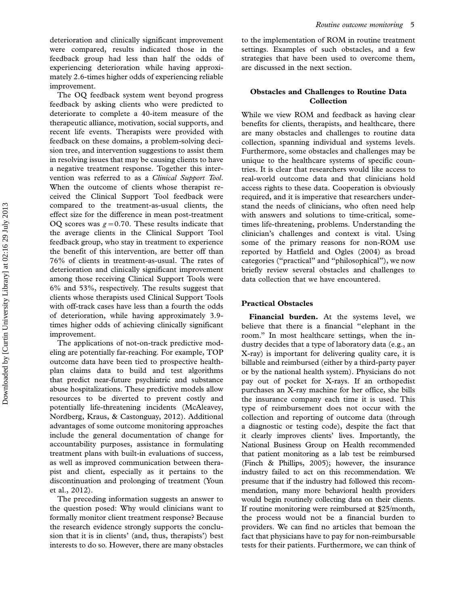deterioration and clinically significant improvement were compared, results indicated those in the feedback group had less than half the odds of experiencing deterioration while having approximately 2.6-times higher odds of experiencing reliable improvement.

The OQ feedback system went beyond progress feedback by asking clients who were predicted to deteriorate to complete a 40-item measure of the therapeutic alliance, motivation, social supports, and recent life events. Therapists were provided with feedback on these domains, a problem-solving decision tree, and intervention suggestions to assist them in resolving issues that may be causing clients to have a negative treatment response. Together this intervention was referred to as a Clinical Support Tool. When the outcome of clients whose therapist received the Clinical Support Tool feedback were compared to the treatment-as-usual clients, the effect size for the difference in mean post-treatment OQ scores was  $g = 0.70$ . These results indicate that the average clients in the Clinical Support Tool feedback group, who stay in treatment to experience the benefit of this intervention, are better off than 76% of clients in treatment-as-usual. The rates of deterioration and clinically significant improvement among those receiving Clinical Support Tools were 6% and 53%, respectively. The results suggest that clients whose therapists used Clinical Support Tools with off-track cases have less than a fourth the odds of deterioration, while having approximately 3.9 times higher odds of achieving clinically significant improvement.

The applications of not-on-track predictive modeling are potentially far-reaching. For example, TOP outcome data have been tied to prospective healthplan claims data to build and test algorithms that predict near-future psychiatric and substance abuse hospitalizations. These predictive models allow resources to be diverted to prevent costly and potentially life-threatening incidents (McAleavey, Nordberg, Kraus, & Castonguay, 2012). Additional advantages of some outcome monitoring approaches include the general documentation of change for accountability purposes, assistance in formulating treatment plans with built-in evaluations of success, as well as improved communication between therapist and client, especially as it pertains to the discontinuation and prolonging of treatment (Youn et al., 2012).

The preceding information suggests an answer to the question posed: Why would clinicians want to formally monitor client treatment response? Because the research evidence strongly supports the conclusion that it is in clients' (and, thus, therapists') best interests to do so. However, there are many obstacles

to the implementation of ROM in routine treatment settings. Examples of such obstacles, and a few strategies that have been used to overcome them, are discussed in the next section.

# Obstacles and Challenges to Routine Data Collection

While we view ROM and feedback as having clear benefits for clients, therapists, and healthcare, there are many obstacles and challenges to routine data collection, spanning individual and systems levels. Furthermore, some obstacles and challenges may be unique to the healthcare systems of specific countries. It is clear that researchers would like access to real-world outcome data and that clinicians hold access rights to these data. Cooperation is obviously required, and it is imperative that researchers understand the needs of clinicians, who often need help with answers and solutions to time-critical, sometimes life-threatening, problems. Understanding the clinician's challenges and context is vital. Using some of the primary reasons for non-ROM use reported by Hatfield and Ogles (2004) as broad categories (''practical'' and ''philosophical''), we now briefly review several obstacles and challenges to data collection that we have encountered.

#### Practical Obstacles

Financial burden. At the systems level, we believe that there is a financial ''elephant in the room.'' In most healthcare settings, when the industry decides that a type of laboratory data (e.g., an X-ray) is important for delivering quality care, it is billable and reimbursed (either by a third-party payer or by the national health system). Physicians do not pay out of pocket for X-rays. If an orthopedist purchases an X-ray machine for her office, she bills the insurance company each time it is used. This type of reimbursement does not occur with the collection and reporting of outcome data (through a diagnostic or testing code), despite the fact that it clearly improves clients' lives. Importantly, the National Business Group on Health recommended that patient monitoring as a lab test be reimbursed (Finch & Phillips, 2005); however, the insurance industry failed to act on this recommendation. We presume that if the industry had followed this recommendation, many more behavioral health providers would begin routinely collecting data on their clients. If routine monitoring were reimbursed at \$25/month, the process would not be a financial burden to providers. We can find no articles that bemoan the fact that physicians have to pay for non-reimbursable tests for their patients. Furthermore, we can think of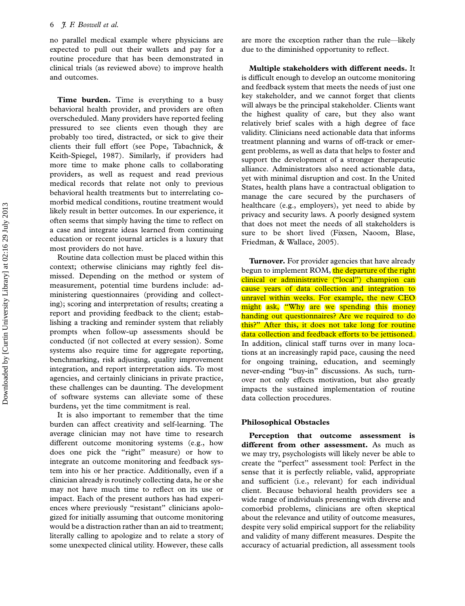no parallel medical example where physicians are expected to pull out their wallets and pay for a routine procedure that has been demonstrated in clinical trials (as reviewed above) to improve health and outcomes.

**Time burden.** Time is everything to a busy behavioral health provider, and providers are often overscheduled. Many providers have reported feeling pressured to see clients even though they are probably too tired, distracted, or sick to give their clients their full effort (see Pope, Tabachnick, & Keith-Spiegel, 1987). Similarly, if providers had more time to make phone calls to collaborating providers, as well as request and read previous medical records that relate not only to previous behavioral health treatments but to interrelating comorbid medical conditions, routine treatment would likely result in better outcomes. In our experience, it often seems that simply having the time to reflect on a case and integrate ideas learned from continuing education or recent journal articles is a luxury that most providers do not have.

Routine data collection must be placed within this context; otherwise clinicians may rightly feel dismissed. Depending on the method or system of measurement, potential time burdens include: administering questionnaires (providing and collecting); scoring and interpretation of results; creating a report and providing feedback to the client; establishing a tracking and reminder system that reliably prompts when follow-up assessments should be conducted (if not collected at every session). Some systems also require time for aggregate reporting, benchmarking, risk adjusting, quality improvement integration, and report interpretation aids. To most agencies, and certainly clinicians in private practice, these challenges can be daunting. The development of software systems can alleviate some of these burdens, yet the time commitment is real.

It is also important to remember that the time burden can affect creativity and self-learning. The average clinician may not have time to research different outcome monitoring systems (e.g., how does one pick the "right" measure) or how to integrate an outcome monitoring and feedback system into his or her practice. Additionally, even if a clinician already is routinely collecting data, he or she may not have much time to reflect on its use or impact. Each of the present authors has had experiences where previously "resistant" clinicians apologized for initially assuming that outcome monitoring would be a distraction rather than an aid to treatment; literally calling to apologize and to relate a story of some unexpected clinical utility. However, these calls

are more the exception rather than the rule-likely due to the diminished opportunity to reflect.

Multiple stakeholders with different needs. It is difficult enough to develop an outcome monitoring and feedback system that meets the needs of just one key stakeholder, and we cannot forget that clients will always be the principal stakeholder. Clients want the highest quality of care, but they also want relatively brief scales with a high degree of face validity. Clinicians need actionable data that informs treatment planning and warns of off-track or emergent problems, as well as data that helps to foster and support the development of a stronger therapeutic alliance. Administrators also need actionable data, yet with minimal disruption and cost. In the United States, health plans have a contractual obligation to manage the care secured by the purchasers of healthcare (e.g., employers), yet need to abide by privacy and security laws. A poorly designed system that does not meet the needs of all stakeholders is sure to be short lived (Fixsen, Naoom, Blase, Friedman, & Wallace, 2005).

Turnover. For provider agencies that have already begun to implement ROM, the departure of the right clinical or administrative (''local'') champion can cause years of data collection and integration to unravel within weeks. For example, the new CEO might ask, "Why are we spending this money handing out questionnaires? Are we required to do this?'' After this, it does not take long for routine data collection and feedback efforts to be jettisoned. In addition, clinical staff turns over in many locations at an increasingly rapid pace, causing the need for ongoing training, education, and seemingly never-ending ''buy-in'' discussions. As such, turnover not only effects motivation, but also greatly impacts the sustained implementation of routine data collection procedures.

#### Philosophical Obstacles

Perception that outcome assessment is different from other assessment. As much as we may try, psychologists will likely never be able to create the ''perfect'' assessment tool: Perfect in the sense that it is perfectly reliable, valid, appropriate and sufficient (i.e., relevant) for each individual client. Because behavioral health providers see a wide range of individuals presenting with diverse and comorbid problems, clinicians are often skeptical about the relevance and utility of outcome measures, despite very solid empirical support for the reliability and validity of many different measures. Despite the accuracy of actuarial prediction, all assessment tools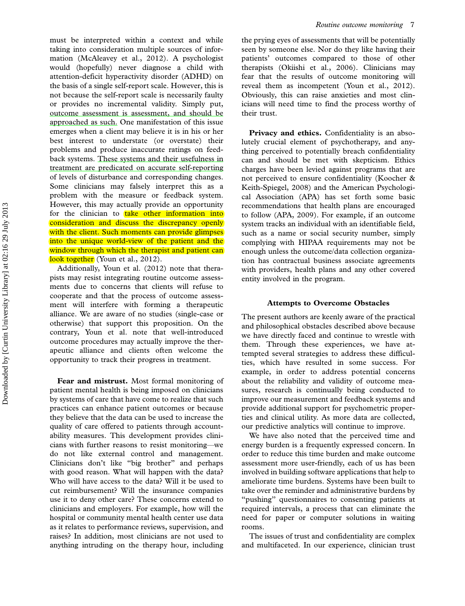must be interpreted within a context and while taking into consideration multiple sources of information (McAleavey et al., 2012). A psychologist would (hopefully) never diagnose a child with attention-deficit hyperactivity disorder (ADHD) on the basis of a single self-report scale. However, this is not because the self-report scale is necessarily faulty or provides no incremental validity. Simply put, outcome assessment is assessment, and should be approached as such. One manifestation of this issue emerges when a client may believe it is in his or her best interest to understate (or overstate) their problems and produce inaccurate ratings on feedback systems. These systems and their usefulness in treatment are predicated on accurate self-reporting of levels of disturbance and corresponding changes. Some clinicians may falsely interpret this as a problem with the measure or feedback system. However, this may actually provide an opportunity for the clinician to take other information into consideration and discuss the discrepancy openly with the client. Such moments can provide glimpses into the unique world-view of the patient and the window through which the therapist and patient can look together (Youn et al., 2012).

Additionally, Youn et al. (2012) note that therapists may resist integrating routine outcome assessments due to concerns that clients will refuse to cooperate and that the process of outcome assessment will interfere with forming a therapeutic alliance. We are aware of no studies (single-case or otherwise) that support this proposition. On the contrary, Youn et al. note that well-introduced outcome procedures may actually improve the therapeutic alliance and clients often welcome the opportunity to track their progress in treatment.

Fear and mistrust. Most formal monitoring of patient mental health is being imposed on clinicians by systems of care that have come to realize that such practices can enhance patient outcomes or because they believe that the data can be used to increase the quality of care offered to patients through accountability measures. This development provides clinicians with further reasons to resist monitoring\*we do not like external control and management. Clinicians don't like ''big brother'' and perhaps with good reason. What will happen with the data? Who will have access to the data? Will it be used to cut reimbursement? Will the insurance companies use it to deny other care? These concerns extend to clinicians and employers. For example, how will the hospital or community mental health center use data as it relates to performance reviews, supervision, and raises? In addition, most clinicians are not used to anything intruding on the therapy hour, including

the prying eyes of assessments that will be potentially seen by someone else. Nor do they like having their patients' outcomes compared to those of other therapists (Okiishi et al., 2006). Clinicians may fear that the results of outcome monitoring will reveal them as incompetent (Youn et al., 2012). Obviously, this can raise anxieties and most clinicians will need time to find the process worthy of their trust.

Privacy and ethics. Confidentiality is an absolutely crucial element of psychotherapy, and anything perceived to potentially breach confidentiality can and should be met with skepticism. Ethics charges have been levied against programs that are not perceived to ensure confidentiality (Koocher & Keith-Spiegel, 2008) and the American Psychological Association (APA) has set forth some basic recommendations that health plans are encouraged to follow (APA, 2009). For example, if an outcome system tracks an individual with an identifiable field, such as a name or social security number, simply complying with HIPAA requirements may not be enough unless the outcome/data collection organization has contractual business associate agreements with providers, health plans and any other covered entity involved in the program.

#### Attempts to Overcome Obstacles

The present authors are keenly aware of the practical and philosophical obstacles described above because we have directly faced and continue to wrestle with them. Through these experiences, we have attempted several strategies to address these difficulties, which have resulted in some success. For example, in order to address potential concerns about the reliability and validity of outcome measures, research is continually being conducted to improve our measurement and feedback systems and provide additional support for psychometric properties and clinical utility. As more data are collected, our predictive analytics will continue to improve.

We have also noted that the perceived time and energy burden is a frequently expressed concern. In order to reduce this time burden and make outcome assessment more user-friendly, each of us has been involved in building software applications that help to ameliorate time burdens. Systems have been built to take over the reminder and administrative burdens by "pushing" questionnaires to consenting patients at required intervals, a process that can eliminate the need for paper or computer solutions in waiting rooms.

The issues of trust and confidentiality are complex and multifaceted. In our experience, clinician trust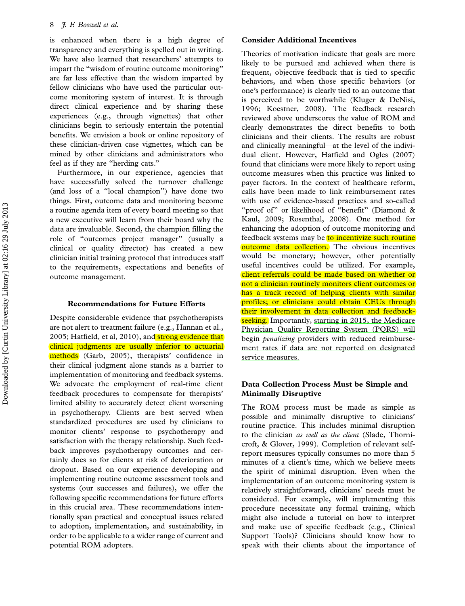is enhanced when there is a high degree of transparency and everything is spelled out in writing. We have also learned that researchers' attempts to impart the ''wisdom of routine outcome monitoring'' are far less effective than the wisdom imparted by fellow clinicians who have used the particular outcome monitoring system of interest. It is through direct clinical experience and by sharing these experiences (e.g., through vignettes) that other clinicians begin to seriously entertain the potential benefits. We envision a book or online repository of these clinician-driven case vignettes, which can be mined by other clinicians and administrators who feel as if they are ''herding cats.''

Furthermore, in our experience, agencies that have successfully solved the turnover challenge (and loss of a ''local champion'') have done two things. First, outcome data and monitoring become a routine agenda item of every board meeting so that a new executive will learn from their board why the data are invaluable. Second, the champion filling the role of ''outcomes project manager'' (usually a clinical or quality director) has created a new clinician initial training protocol that introduces staff to the requirements, expectations and benefits of outcome management.

#### Recommendations for Future Efforts

Despite considerable evidence that psychotherapists are not alert to treatment failure (e.g., Hannan et al., 2005; Hatfield, et al, 2010), and strong evidence that clinical judgments are usually inferior to actuarial methods (Garb, 2005), therapists' confidence in their clinical judgment alone stands as a barrier to implementation of monitoring and feedback systems. We advocate the employment of real-time client feedback procedures to compensate for therapists' limited ability to accurately detect client worsening in psychotherapy. Clients are best served when standardized procedures are used by clinicians to monitor clients' response to psychotherapy and satisfaction with the therapy relationship. Such feedback improves psychotherapy outcomes and certainly does so for clients at risk of deterioration or dropout. Based on our experience developing and implementing routine outcome assessment tools and systems (our successes and failures), we offer the following specific recommendations for future efforts in this crucial area. These recommendations intentionally span practical and conceptual issues related to adoption, implementation, and sustainability, in order to be applicable to a wider range of current and potential ROM adopters.

#### Consider Additional Incentives

Theories of motivation indicate that goals are more likely to be pursued and achieved when there is frequent, objective feedback that is tied to specific behaviors, and when those specific behaviors (or one's performance) is clearly tied to an outcome that is perceived to be worthwhile (Kluger & DeNisi, 1996; Koestner, 2008). The feedback research reviewed above underscores the value of ROM and clearly demonstrates the direct benefits to both clinicians and their clients. The results are robust and clinically meaningful—at the level of the individual client. However, Hatfield and Ogles (2007) found that clinicians were more likely to report using outcome measures when this practice was linked to payer factors. In the context of healthcare reform, calls have been made to link reimbursement rates with use of evidence-based practices and so-called "proof of" or likelihood of "benefit" (Diamond & Kaul, 2009; Rosenthal, 2008). One method for enhancing the adoption of outcome monitoring and feedback systems may be to incentivize such routine outcome data collection. The obvious incentives would be monetary; however, other potentially useful incentives could be utilized. For example, client referrals could be made based on whether or not a clinician routinely monitors client outcomes or has a track record of helping clients with similar profiles; or clinicians could obtain CEUs through their involvement in data collection and feedbackseeking. Importantly, starting in 2015, the Medicare Physician Quality Reporting System (PQRS) will begin *penalizing* providers with reduced reimbursement rates if data are not reported on designated service measures.

## Data Collection Process Must be Simple and Minimally Disruptive

The ROM process must be made as simple as possible and minimally disruptive to clinicians' routine practice. This includes minimal disruption to the clinician as well as the client (Slade, Thornicroft, & Glover, 1999). Completion of relevant selfreport measures typically consumes no more than 5 minutes of a client's time, which we believe meets the spirit of minimal disruption. Even when the implementation of an outcome monitoring system is relatively straightforward, clinicians' needs must be considered. For example, will implementing this procedure necessitate any formal training, which might also include a tutorial on how to interpret and make use of specific feedback (e.g., Clinical Support Tools)? Clinicians should know how to speak with their clients about the importance of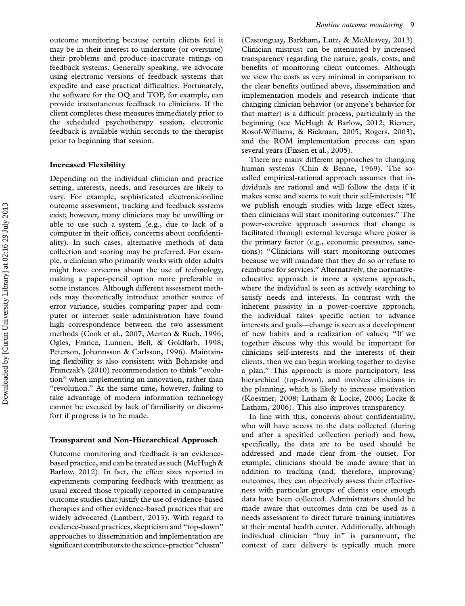outcome monitoring because certain clients feel it may be in their interest to understate (or overstate) their problems and produce inaccurate ratings on feedback systems. Generally speaking, we advocate using electronic versions of feedback systems that expedite and ease practical difficulties. Fortunately, the software for the OQ and TOP, for example, can provide instantaneous feedback to clinicians. If the client completes these measures immediately prior to the scheduled psychotherapy session, electronic feedback is available within seconds to the therapist prior to beginning that session.

#### Increased Flexibility

Depending on the individual clinician and practice setting, interests, needs, and resources are likely to vary. For example, sophisticated electronic/online outcome assessment, tracking and feedback systems exist; however, many clinicians may be unwilling or able to use such a system (e.g., due to lack of a computer in their office, concerns about confidentiality). In such cases, alternative methods of data collection and scoring may be preferred. For example, a clinician who primarily works with older adults might have concerns about the use of technology, making a paper-pencil option more preferable in some instances. Although different assessment methods may theoretically introduce another source of error variance, studies comparing paper and computer or internet scale administration have found high correspondence between the two assessment methods (Cook et al., 2007; Merten & Ruch, 1996; Ogles, France, Lunnen, Bell, & Goldfarb, 1998; Peterson, Johannsson & Carlsson, 1996). Maintaining flexibility is also consistent with Bohanske and Franczak's (2010) recommendation to think ''evolution'' when implementing an innovation, rather than "revolution." At the same time, however, failing to take advantage of modern information technology cannot be excused by lack of familiarity or discomfort if progress is to be made.

#### Transparent and Non-Hierarchical Approach

Outcome monitoring and feedback is an evidencebased practice, and can be treated as such (McHugh & Barlow, 2012). In fact, the effect sizes reported in experiments comparing feedback with treatment as usual exceed those typically reported in comparative outcome studies that justify the use of evidence-based therapies and other evidence-based practices that are widely advocated (Lambert, 2013). With regard to evidence-based practices, skepticism and ''top-down'' approaches to dissemination and implementation are significant contributors to the science-practice "chasm"

(Castonguay, Barkham, Lutz, & McAleavey, 2013). Clinician mistrust can be attenuated by increased transparency regarding the nature, goals, costs, and benefits of monitoring client outcomes. Although we view the costs as very minimal in comparison to the clear benefits outlined above, dissemination and implementation models and research indicate that changing clinician behavior (or anyone's behavior for that matter) is a difficult process, particularly in the beginning (see McHugh & Barlow, 2012; Riemer, Rosof-Williams, & Bickman, 2005; Rogers, 2003), and the ROM implementation process can span several years (Fixsen et al., 2005).

There are many different approaches to changing human systems (Chin & Benne, 1969). The socalled empirical-rational approach assumes that individuals are rational and will follow the data if it makes sense and seems to suit their self-interests; ''If we publish enough studies with large effect sizes, then clinicians will start monitoring outcomes.'' The power-coercive approach assumes that change is facilitated through external leverage where power is the primary factor (e.g., economic pressures, sanctions); ''Clinicians will start monitoring outcomes because we will mandate that they do so or refuse to reimburse for services.'' Alternatively, the normativeeducative approach is more a systems approach, where the individual is seen as actively searching to satisfy needs and interests. In contrast with the inherent passivity in a power-coercive approach, the individual takes specific action to advance interests and goals—change is seen as a development of new habits and a realization of values; ''If we together discuss why this would be important for clinicians self-interests and the interests of their clients, then we can begin working together to devise a plan.'' This approach is more participatory, less hierarchical (top-down), and involves clinicians in the planning, which is likely to increase motivation (Koestner, 2008; Latham & Locke, 2006; Locke & Latham, 2006). This also improves transparency.

In line with this, concerns about confidentiality, who will have access to the data collected (during and after a specified collection period) and how, specifically, the data are to be used should be addressed and made clear from the outset. For example, clinicians should be made aware that in addition to tracking (and, therefore, improving) outcomes, they can objectively assess their effectiveness with particular groups of clients once enough data have been collected. Administrators should be made aware that outcomes data can be used as a needs assessment to direct future training initiatives at their mental health center. Additionally, although individual clinician ''buy in'' is paramount, the context of care delivery is typically much more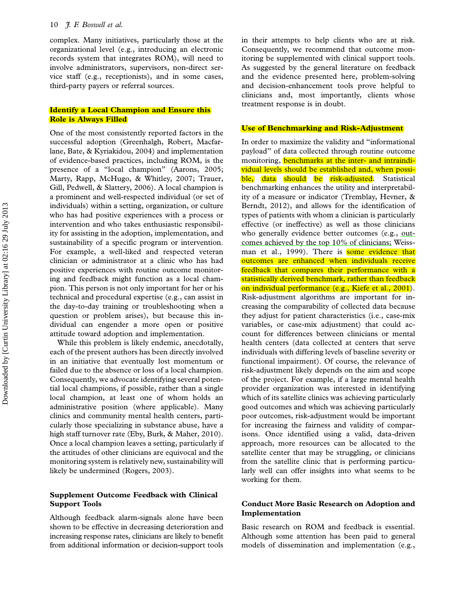complex. Many initiatives, particularly those at the organizational level (e.g., introducing an electronic records system that integrates ROM), will need to involve administrators, supervisors, non-direct service staff (e.g., receptionists), and in some cases, third-party payers or referral sources.

# Identify a Local Champion and Ensure this Role is Always Filled

One of the most consistently reported factors in the successful adoption (Greenhalgh, Robert, Macfarlane, Bate, & Kyriakidou, 2004) and implementation of evidence-based practices, including ROM, is the presence of a ''local champion'' (Aarons, 2005; Marty, Rapp, McHugo, & Whitley, 2007; Trauer, Gill, Pedwell, & Slattery, 2006). A local champion is a prominent and well-respected individual (or set of individuals) within a setting, organization, or culture who has had positive experiences with a process or intervention and who takes enthusiastic responsibility for assisting in the adoption, implementation, and sustainability of a specific program or intervention. For example, a well-liked and respected veteran clinician or administrator at a clinic who has had positive experiences with routine outcome monitoring and feedback might function as a local champion. This person is not only important for her or his technical and procedural expertise (e.g., can assist in the day-to-day training or troubleshooting when a question or problem arises), but because this individual can engender a more open or positive attitude toward adoption and implementation.

While this problem is likely endemic, anecdotally, each of the present authors has been directly involved in an initiative that eventually lost momentum or failed due to the absence or loss of a local champion. Consequently, we advocate identifying several potential local champions, if possible, rather than a single local champion, at least one of whom holds an administrative position (where applicable). Many clinics and community mental health centers, particularly those specializing in substance abuse, have a high staff turnover rate (Eby, Burk, & Maher, 2010). Once a local champion leaves a setting, particularly if the attitudes of other clinicians are equivocal and the monitoring system is relatively new, sustainability will likely be undermined (Rogers, 2003).

# Supplement Outcome Feedback with Clinical Support Tools

Although feedback alarm-signals alone have been shown to be effective in decreasing deterioration and increasing response rates, clinicians are likely to benefit from additional information or decision-support tools

in their attempts to help clients who are at risk. Consequently, we recommend that outcome monitoring be supplemented with clinical support tools. As suggested by the general literature on feedback and the evidence presented here, problem-solving and decision-enhancement tools prove helpful to clinicians and, most importantly, clients whose treatment response is in doubt.

#### Use of Benchmarking and Risk-Adjustment

In order to maximize the validity and ''informational payload'' of data collected through routine outcome monitoring, **benchmarks** at the inter- and intraindividual levels should be established and, when possible, data should be risk-adjusted. Statistical benchmarking enhances the utility and interpretability of a measure or indicator (Tremblay, Hevner, & Berndt, 2012), and allows for the identification of types of patients with whom a clinician is particularly effective (or ineffective) as well as those clinicians who generally evidence better outcomes (e.g., outcomes achieved by the top 10% of clinicians; Weissman et al., 1999). There is some evidence that outcomes are enhanced when individuals receive feedback that compares their performance with a statistically derived benchmark, rather than feedback on individual performance (e.g., Kiefe et al., 2001). Risk-adjustment algorithms are important for increasing the comparability of collected data because they adjust for patient characteristics (i.e., case-mix variables, or case-mix adjustment) that could account for differences between clinicians or mental health centers (data collected at centers that serve individuals with differing levels of baseline severity or functional impairment). Of course, the relevance of risk-adjustment likely depends on the aim and scope of the project. For example, if a large mental health provider organization was interested in identifying which of its satellite clinics was achieving particularly good outcomes and which was achieving particularly poor outcomes, risk-adjustment would be important for increasing the fairness and validity of comparisons. Once identified using a valid, data-driven approach, more resources can be allocated to the satellite center that may be struggling, or clinicians from the satellite clinic that is performing particularly well can offer insights into what seems to be working for them.

### Conduct More Basic Research on Adoption and Implementation

Basic research on ROM and feedback is essential. Although some attention has been paid to general models of dissemination and implementation (e.g.,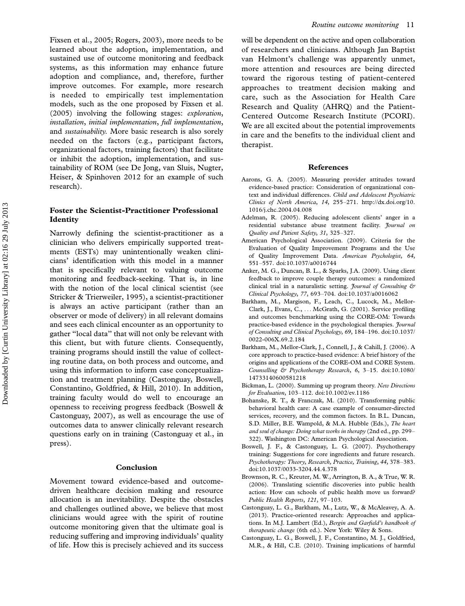Fixsen et al., 2005; Rogers, 2003), more needs to be learned about the adoption, implementation, and sustained use of outcome monitoring and feedback systems, as this information may enhance future adoption and compliance, and, therefore, further improve outcomes. For example, more research is needed to empirically test implementation models, such as the one proposed by Fixsen et al. (2005) involving the following stages: exploration, installation, initial implementation, full implementation, and *sustainability*. More basic research is also sorely needed on the factors (e.g., participant factors, organizational factors, training factors) that facilitate or inhibit the adoption, implementation, and sustainability of ROM (see De Jong, van Sluis, Nugter, Heiser, & Spinhoven 2012 for an example of such research).

# Foster the Scientist-Practitioner Professional **Identity**

Narrowly defining the scientist-practitioner as a clinician who delivers empirically supported treatments (ESTs) may unintentionally weaken clinicians' identification with this model in a manner that is specifically relevant to valuing outcome monitoring and feedback-seeking. That is, in line with the notion of the local clinical scientist (see Stricker & Trierweiler, 1995), a scientist-practitioner is always an active participant (rather than an observer or mode of delivery) in all relevant domains and sees each clinical encounter as an opportunity to gather ''local data'' that will not only be relevant with this client, but with future clients. Consequently, training programs should instill the value of collecting routine data, on both process and outcome, and using this information to inform case conceptualization and treatment planning (Castonguay, Boswell, Constantino, Goldfried, & Hill, 2010). In addition, training faculty would do well to encourage an openness to receiving progress feedback (Boswell & Castonguay, 2007), as well as encourage the use of outcomes data to answer clinically relevant research questions early on in training (Castonguay et al., in press).

#### Conclusion

Movement toward evidence-based and outcomedriven healthcare decision making and resource allocation is an inevitability. Despite the obstacles and challenges outlined above, we believe that most clinicians would agree with the spirit of routine outcome monitoring given that the ultimate goal is reducing suffering and improving individuals' quality of life. How this is precisely achieved and its success

will be dependent on the active and open collaboration of researchers and clinicians. Although Jan Baptist van Helmont's challenge was apparently unmet, more attention and resources are being directed toward the rigorous testing of patient-centered approaches to treatment decision making and care, such as the Association for Health Care Research and Quality (AHRQ) and the Patient-Centered Outcome Research Institute (PCORI). We are all excited about the potential improvements in care and the benefits to the individual client and therapist.

#### References

- Aarons, G. A. (2005). Measuring provider attitudes toward evidence-based practice: Consideration of organizational context and individual differences. Child and Adolescent Psychiatric Clinics of North America, 14, 255-271. [http://dx.doi.org/10.](http://dx.doi.org/10.1016/j.chc.2004.04.008) [1016/j.chc.2004.04.008](http://dx.doi.org/10.1016/j.chc.2004.04.008)
- Adelman, R. (2005). Reducing adolescent clients' anger in a residential substance abuse treatment facility. Journal on Quality and Patient Safety, 31, 325-327.
- American Psychological Association. (2009). Criteria for the Evaluation of Quality Improvement Programs and the Use of Quality Improvement Data. American Psychologist, 64, 551557. doi:10.1037/a0016744
- Anker, M. G., Duncan, B. L., & Sparks, J.A. (2009). Using client feedback to improve couple therapy outcomes: a randomized clinical trial in a naturalistic setting. Journal of Consulting & Clinical Psychology, 77, 693-704. doi:10.1037/a0016062
- Barkham, M., Margison, F., Leach, C., Lucock, M., Mellor-Clark, J., Evans, C., ... McGrath, G. (2001). Service profiling and outcomes benchmarking using the CORE-OM: Towards practice-based evidence in the psychological therapies. *Journal* of Consulting and Clinical Psychology, 69, 184-196. doi:10.1037/ 0022-006X.69.2.184
- Barkham, M., Mellor-Clark, J., Connell, J., & Cahill, J. (2006). A core approach to practice-based evidence: A brief history of the origins and applications of the CORE-OM and CORE System. Counselling & Psychotherapy Research,  $6, 3-15.$  doi:10.1080/ 14733140600581218
- Bickman, L. (2000). Summing up program theory. New Directions for Evaluation, 103-112. doi:10.1002/ev.1186
- Bohanske, R. T., & Franczak, M. (2010). Transforming public behavioral health care: A case example of consumer-directed services, recovery, and the common factors. In B.L. Duncan, S.D. Miller, B.E. Wampold, & M.A. Hubble (Eds.), The heart and soul of change: Doing what works in therapy (2nd ed., pp. 299 322). Washington DC: American Psychological Association.
- Boswell, J. F., & Castonguay, L. G. (2007). Psychotherapy training: Suggestions for core ingredients and future research. Psychotherapy: Theory, Research, Practice, Training, 44, 378-383. doi:10.1037/0033-3204.44.4.378
- Brownson, R. C., Kreuter, M. W., Arrington, B. A., & True, W. R. (2006). Translating scientific discoveries into public health action: How can schools of public health move us forward? Public Health Reports, 121, 97-103.
- Castonguay, L. G., Barkham, M., Lutz, W., & McAleavey, A. A. (2013). Practice-oriented research: Approaches and applications. In M.J. Lambert (Ed.), Bergin and Garfield's handbook of therapeutic change (6th ed.). New York: Wiley & Sons.
- Castonguay, L. G., Boswell, J. F., Constantino, M. J., Goldfried, M.R., & Hill, C.E. (2010). Training implications of harmful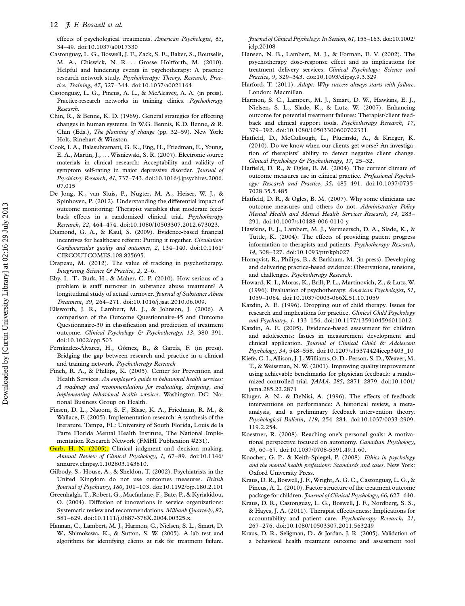effects of psychological treatments. American Psychologist, 65, 3449. doi:10.1037/a0017330

- Castonguay, L. G., Boswell, J. F., Zack, S. E., Baker, S., Boutselis, M. A., Chiswick, N. R. ... Grosse Holtforth, M. (2010). Helpful and hindering events in psychotherapy: A practice research network study. Psychotherapy: Theory, Research, Practice, Training, 47, 327-344. doi:10.1037/a0021164
- Castonguay, L. G., Pincus, A. L., & McAleavey, A. A. (in press). Practice-research networks in training clinics. Psychotherapy Research.
- Chin, R., & Benne, K. D. (1969). General strategies for effecting changes in human systems. In W.G. Bennis, K.D. Benne, & R. Chin (Eds.), The planning of change (pp. 32-59). New York: Holt, Rinehart & Winston.
- Cook, I. A., Balasubramani, G. K., Eng, H., Friedman, E., Young, E. A., Martin, J., ... Wisniewski, S. R. (2007). Electronic source materials in clinical research: Acceptability and validity of symptom self-rating in major depressive disorder. Journal of Psychiatry Research, 41, 737-743. doi:10.1016/j.jpsychires.2006. 07.015
- De Jong, K., van Sluis, P., Nugter, M. A., Heiser, W. J., & Spinhoven, P. (2012). Understanding the differential impact of outcome monitoring: Therapist variables that moderate feedback effects in a randomized clinical trial. Psychotherapy Research, 22, 464-474. doi:10.1080/10503307.2012.673023.
- Diamond, G. A., & Kaul, S. (2009). Evidence-based financial incentives for healthcare reform: Putting it together. Circulation: Cardiovascular quality and outcomes,  $2$ ,  $134-140$ . doi:10.1161/ CIRCOUTCOMES.108.825695.
- Drapeau, M. (2012). The value of tracking in psychotherapy. Integrating Science & Practice, 2, 2-6.
- Eby, L. T., Burk, H., & Maher, C. P. (2010). How serious of a problem is staff turnover in substance abuse treatment? A longitudinal study of actual turnover. Journal of Substance Abuse Treatment, 39, 264-271. doi:10.1016/j.jsat.2010.06.009.
- Ellsworth, J. R., Lambert, M. J., & Johnson, J. (2006). A comparison of the Outcome Questionnaire-45 and Outcome Questionnaire-30 in classification and prediction of treatment outcome. Clinical Psychology & Psychotherapy, 13, 380-391. doi:10.1002/cpp.503
- Fernández-Álvarez, H., Gómez, B., & García, F. (in press). Bridging the gap between research and practice in a clinical and training network. Psychotherapy Research
- Finch, R. A., & Phillips, K. (2005). Center for Prevention and Health Services. An employer's guide to behavioral health services: A roadmap and recommendations for evaluating, designing, and implementing behavioral health services. Washington DC: National Business Group on Health.
- Fixsen, D. L., Naoom, S. F., Blase, K. A., Friedman, R. M., & Wallace, F. (2005). Implementation research: A synthesis of the literature. Tampa, FL: University of South Florida, Louis de la Parte Florida Mental Health Institute, The National Implementation Research Network (FMHI Publication #231).
- Garb, H. N. (2005). Clinical judgment and decision making. Annual Review of Clinical Psychology, 1, 67-89. doi:10.1146/ annurev.clinpsy.1.102803.143810.
- Gilbody, S., House, A., & Sheldon, T. (2002). Psychiatrists in the United Kingdom do not use outcomes measures. British Journal of Psychiatry, 180, 101-103. doi:10.1192/bjp.180.2.101
- Greenhalgh, T., Robert, G., Macfarlane, F., Bate, P., & Kyriakidou, O. (2004). Diffusion of innovations in service organizations: Systematic review and recommendations. Milbank Quarterly, 82, 581-629. doi:10.1111/j.0887-378X.2004.00325.x.
- Hannan, C., Lambert, M. J., Harmon, C., Nielsen, S. L., Smart, D. W., Shimokawa, K., & Sutton, S. W. (2005). A lab test and algorithms for identifying clients at risk for treatment failure.

Journal of Clinical Psychology: In Session, 61, 155-163. doi:10.1002/ jclp.20108

- Hansen, N. B., Lambert, M. J., & Forman, E. V. (2002). The psychotherapy dose-response effect and its implications for treatment delivery services. Clinical Psychology: Science and Practice, 9, 329-343. doi:10.1093/clipsy.9.3.329
- Harford, T. (2011). Adapt: Why success always starts with failure. London: Macmillan.
- Harmon, S. C., Lambert, M. J., Smart, D. W., Hawkins, E. J., Nielsen, S. L., Slade, K., & Lutz, W. (2007). Enhancing outcome for potential treatment failures: Therapist/client feedback and clinical support tools. Psychotherapy Research, 17, 379392. doi:10.1080/10503300600702331
- Hatfield, D., McCullough, L., Plucinski, A., & Krieger, K. (2010). Do we know when our clients get worse? An investigation of therapists' ability to detect negative client change. Clinical Psychology & Psychotherapy, 17, 25-32.
- Hatfield, D. R., & Ogles, B. M. (2004). The current climate of outcome measures use in clinical practice. Professional Psychology: Research and Practice, 35, 485-491. doi:10.1037/0735-7028.35.5.485
- Hatfield, D. R., & Ogles, B. M. (2007). Why some clinicians use outcome measures and others do not. Administrative Policy Mental Health and Mental Health Services Research, 34, 283 291. doi:10.1007/s10488-006-0110-y
- Hawkins, E. J., Lambert, M. J., Vermeersch, D. A., Slade, K., & Tuttle, K. (2004). The effects of providing patient progress information to therapists and patients. Psychotherapy Research, 14, 308-327. doi:10.1093/ptr/kph027
- Homqvist, R., Philips, B., & Barkham, M. (in press). Developing and delivering practice-based evidence: Observations, tensions, and challenges. Psychotherapy Research.
- Howard, K. I., Moras, K., Brill, P. L., Martinovich, Z., & Lutz, W. (1996). Evaluation of psychotherapy. American Psychologist, 51, 10591064. doi:10.1037/0003-066X.51.10.1059
- Kazdin, A. E. (1996). Dropping out of child therapy. Issues for research and implications for practice. Clinical Child Psychology and Psychiatry, 1, 133-156. doi:10.1177/1359104596011012
- Kazdin, A. E. (2005). Evidence-based assessment for children and adolescents: Issues in measurement development and clinical application. Journal of Clinical Child & Adolescent Psychology, 34, 548-558. doi:10.1207/s15374424jccp3403\_10
- Kiefe, C. I., Allison, J. J., Williams, O. D., Person, S. D., Weaver, M. T., & Weissman, N. W. (2001). Improving quality improvement using achievable benchmarks for physician feedback: a randomized controlled trial. *JAMA*, 285, 2871-2879. doi:10.1001/ jama.285.22.2871
- Kluger, A. N., & DeNisi, A. (1996). The effects of feedback interventions on performance: A historical review, a metaanalysis, and a preliminary feedback intervention theory. Psychological Bulletin, 119, 254-284. doi:10.1037/0033-2909. 119.2.254.
- Koestner, R. (2008). Reaching one's personal goals: A motivational perspective focused on autonomy. Canadian Psychology, 49, 60-67. doi:10.1037/0708-5591.49.1.60.
- Koocher, G. P., & Keith-Spiegel, P. (2008). Ethics in psychology and the mental health professions: Standards and cases. New York: Oxford University Press.
- Kraus, D. R., Boswell, J. F., Wright, A. G. C., Castonguay, L. G., & Pincus, A. L. (2010). Factor structure of the treatment outcome package for children. Journal of Clinical Psychology, 66, 627-640.
- Kraus, D. R., Castonguay, L. G., Boswell, J. F., Nordberg, S. S., & Hayes, J. A. (2011). Therapist effectiveness: Implications for accountability and patient care. Psychotherapy Research, 21, 267276. doi:10.1080/10503307.2011.563249
- Kraus, D. R., Seligman, D., & Jordan, J. R. (2005). Validation of a behavioral health treatment outcome and assessment tool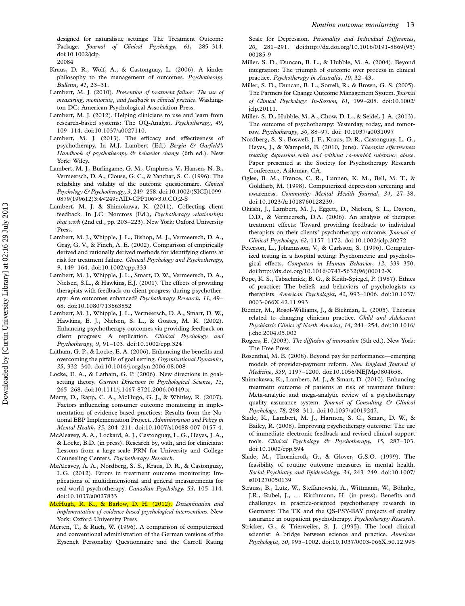designed for naturalistic settings: The Treatment Outcome Package. Journal of Clinical Psychology, 61, 285-314. doi:10.1002/jclp. 20084

- Kraus, D. R., Wolf, A., & Castonguay, L. (2006). A kinder philosophy to the management of outcomes. Psychotherapy Bulletin, 41, 23-31.
- Lambert, M. J. (2010). Prevention of treatment failure: The use of measuring, monitoring, and feedback in clinical practice. Washington DC: American Psychological Association Press.
- Lambert, M. J. (2012). Helping clinicians to use and learn from research-based systems: The OQ-Analyst. Psychotherapy, 49, 109114. doi:10.1037/a0027110.
- Lambert, M. J. (2013). The efficacy and effectiveness of psychotherapy. In M.J. Lambert (Ed.) Bergin & Garfield's Handbook of psychotherapy & behavior change (6th ed.). New York: Wiley.
- Lambert, M. J., Burlingame, G. M., Umphress, V., Hansen, N. B., Vermeersch, D. A., Clouse, G. C., & Yanchar, S. C. (1996). The reliability and validity of the outcome questionnaire. Clinical Psychology & Psychotherapy, 3, 249-258. doi:10.1002/(SICI)1099-0879(199612)3:4<249::AID-CPP106>3.0.CO;2-S
- Lambert, M. J. & Shimokawa, K. (2011). Collecting client feedback. In J.C. Norcross (Ed.), Psychotherapy relationships that work (2nd ed., pp. 203-223). New York: Oxford University Press.
- Lambert, M. J., Whipple, J. L., Bishop, M. J., Vermeersch, D. A., Gray, G. V., & Finch, A. E. (2002). Comparison of empirically derived and rationally derived methods for identifying clients at risk for treatment failure. Clinical Psychology and Psychotherapy, 9, 149-164. doi:10.1002/cpp.333
- Lambert, M. J., Whipple, J. L., Smart, D. W., Vermeersch, D. A., Nielsen, S.L., & Hawkins, E.J. (2001). The effects of providing therapists with feedback on client progress during psychotherapy: Are outcomes enhanced? Psychotherapy Research, 11, 49-68. doi:10.1080/713663852
- Lambert, M. J., Whipple, J. L., Vermeersch, D. A., Smart, D. W., Hawkins, E. J., Nielsen, S. L., & Goates, M. K. (2002). Enhancing psychotherapy outcomes via providing feedback on client progress: A replication. Clinical Psychology and Psychotherapy, 9, 91-103. doi:10.1002/cpp.324
- Latham, G. P., & Locke, E. A. (2006). Enhancing the benefits and overcoming the pitfalls of goal setting. Organizational Dynamics, 35, 332-340. doi:10.1016/j.orgdyn.2006.08.008
- Locke, E. A., & Latham, G. P. (2006). New directions in goalsetting theory. Current Directions in Psychological Science, 15, 265-268. doi:10.1111/j.1467-8721.2006.00449.x.
- Marty, D., Rapp, C. A., McHugo, G. J., & Whitley, R. (2007). Factors influencing consumer outcome monitoring in implementation of evidence-based practices: Results from the National EBP Implementation Project. Administration and Policy in Mental Health, 35, 204-211. doi:10.1007/s10488-007-0157-4.
- McAleavey, A. A., Lockard, A. J., Castonguay, L. G., Hayes, J. A., & Locke, B.D. (in press). Research by, with, and for clinicians: Lessons from a large-scale PRN for University and College Counseling Centers. Psychotherapy Research.
- McAleavey, A. A., Nordberg, S. S., Kraus, D. R., & Castonguay, L.G. (2012). Errors in treatment outcome monitoring: Implications of multidimensional and general measurements for real-world psychotherapy. Canadian Psychology, 53, 105-114. doi:10.1037/a0027833
- McHugh, R. K., & Barlow, D. H. (2012). Dissemination and implementation of evidence-based psychological interventions. New York: Oxford University Press.
- Merten, T., & Ruch, W. (1996). A comparison of computerized and conventional administration of the German versions of the Eysenck Personality Questionnaire and the Carroll Rating

Scale for Depression. Personality and Individual Differences, 20, 281-291. [doi:http://dx.doi.org/10.1016/0191-8869\(95\)](doi:http://dx.doi.org/10.1016/0191-8869(95)00185-9) [00185-9](doi:http://dx.doi.org/10.1016/0191-8869(95)00185-9)

- Miller, S. D., Duncan, B. L., & Hubble, M. A. (2004). Beyond integration: The triumph of outcome over process in clinical practice. Psychotherapy in Australia, 10, 32-43.
- Miller, S. D., Duncan, B. L., Sorrell, R., & Brown, G. S. (2005). The Partners for Change Outcome Management System. *Journal* of Clinical Psychology: In-Session, 61, 199-208. doi:10.1002/ jclp.20111.
- Miller, S. D., Hubble, M. A., Chow, D. L., & Seidel, J. A. (2013). The outcome of psychotherapy: Yesterday, today, and tomorrow. Psychotherapy, 50, 88-97. doi: 10.1037/a0031097
- Nordberg, S. S., Boswell, J. F., Kraus, D. R., Castonguay, L. G., Hayes, J., & Wampold, B. (2010, June). Therapist effectiveness treating depression with and without co-morbid substance abuse. Paper presented at the Society for Psychotherapy Research Conference, Asilomar, CA.
- Ogles, B. M., France, C. R., Lunnen, K. M., Bell, M. T., & Goldfarb, M. (1998). Computerized depression screening and awareness. Community Mental Health Journal, 34, 27-38. doi:10.1023/A:1018760128239.
- Okiishi, J., Lambert, M. J., Eggett, D., Nielsen, S. L., Dayton, D.D., & Vermeersch, D.A. (2006). An analysis of therapist treatment effects: Toward providing feedback to individual therapists on their clients' psychotherapy outcome; *Journal of* Clinical Psychology, 62, 1157-1172. doi:10.1002/jclp.20272
- Peterson, L., Johannsson, V., & Carlsson, S. (1996). Computerized testing in a hospital setting: Psychometric and psychological effects. Computers in Human Behavior, 12, 339-350. [doi:http://dx.doi.org/10.1016/0747-5632\(96\)00012-X](doi:http://dx.doi.org/10.1016/0747-5632(96)00012-X)
- Pope, K. S., Tabachnick, B. G., & Keith-Spiegel, P. (1987). Ethics of practice: The beliefs and behaviors of psychologists as therapists. American Psychologist, 42, 993-1006. doi:10.1037/ 0003-066X.42.11.993
- Riemer, M., Rosof-Williams, J., & Bickman, L. (2005). Theories related to changing clinician practice. Child and Adolescent Psychiatric Clinics of North America, 14, 241-254. doi:10.1016/ j.chc.2004.05.002
- Rogers, E. (2003). The diffusion of innovation (5th ed.). New York: The Free Press.
- Rosenthal, M. B. (2008). Beyond pay for performance-emerging models of provider-payment reform. New England Journal of Medicine, 359, 1197-1200. doi:10.1056/NEJMp0804658.
- Shimokawa, K., Lambert, M. J., & Smart, D. (2010). Enhancing treatment outcome of patients at risk of treatment failure: Meta-analytic and mega-analytic review of a psychotherapy quality assurance system. Journal of Consulting & Clinical Psychology, 78, 298-311. doi:10.1037/a0019247.
- Slade, K., Lambert, M. J., Harmon, S. C., Smart, D. W., & Bailey, R. (2008). Improving psychotherapy outcome: The use of immediate electronic feedback and revised clinical support tools. Clinical Psychology & Psychotherapy, 15, 287-303. doi:10.1002/cpp.594
- Slade, M., Thornicroft, G., & Glover, G.S.O. (1999). The feasibility of routine outcome measures in mental health. Social Psychiatry and Epidemiology, 34, 243-249. doi:10.1007/ s001270050139
- Strauss, B., Lutz, W., Steffanowski, A., Wittmann, W., Böhnke, J.R., Rubel, J., ... Kirchmann, H. (in press). Benefits and challenges in practice-oriented psychotherapy research in Germany: The TK and the QS-PSY-BAY projects of quality assurance in outpatient psychotherapy. Psychotherapy Research.
- Stricker, G., & Trierweiler, S. J. (1995). The local clinical scientist: A bridge between science and practice. American Psychologist, 50, 995-1002. doi:10.1037/0003-066X.50.12.995